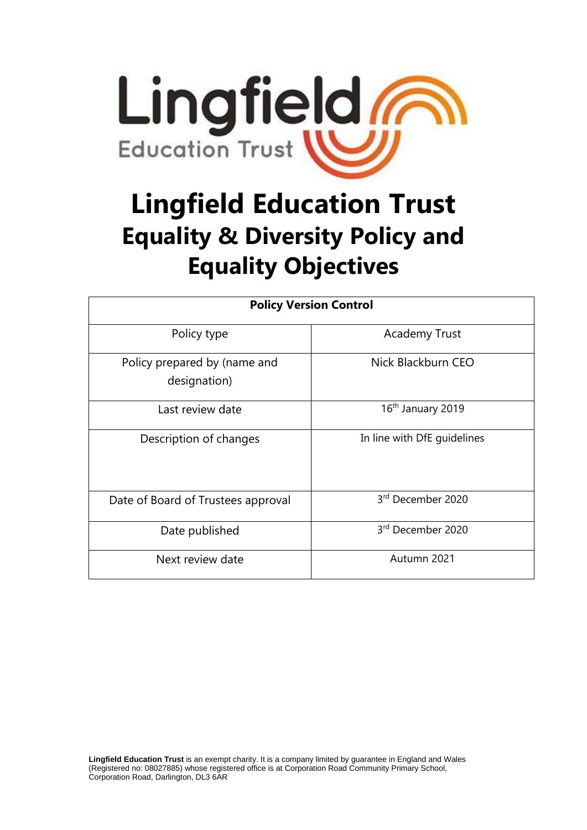

# **Lingfield Education Trust Equality & Diversity Policy and Equality Objectives**

| <b>Policy Version Control</b>                |                               |  |
|----------------------------------------------|-------------------------------|--|
| Policy type                                  | <b>Academy Trust</b>          |  |
| Policy prepared by (name and<br>designation) | Nick Blackburn CEO            |  |
| Last review date                             | 16 <sup>th</sup> January 2019 |  |
| Description of changes                       | In line with DfE guidelines   |  |
| Date of Board of Trustees approval           | 3rd December 2020             |  |
| Date published                               | 3rd December 2020             |  |
| Next review date                             | Autumn 2021                   |  |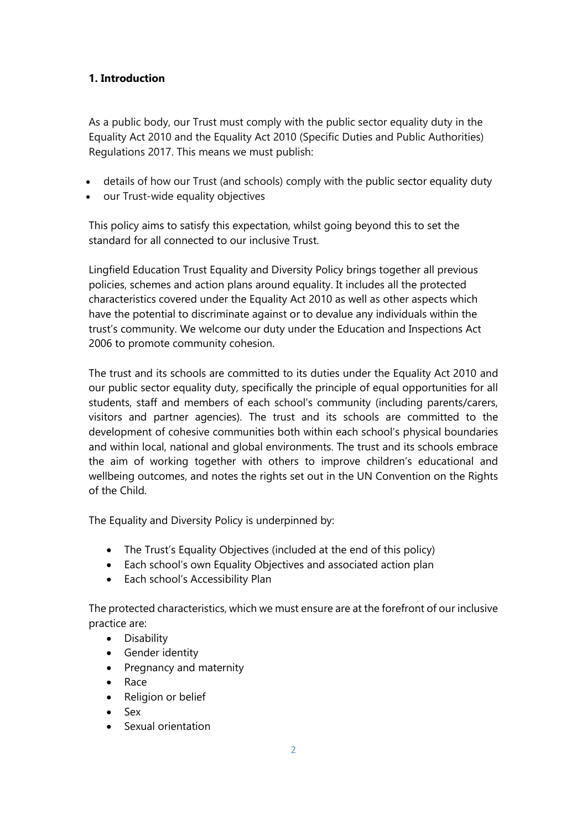## **1. Introduction**

As a public body, our Trust must comply with the public sector equality duty in the Equality Act 2010 and the Equality Act 2010 (Specific Duties and Public Authorities) Regulations 2017. This means we must publish:

- details of how our Trust (and schools) comply with the public sector [equality](http://www.legislation.gov.uk/ukpga/2010/15/section/149) duty
- our Trust-wide equality objectives

This policy aims to satisfy this expectation, whilst going beyond this to set the standard for all connected to our inclusive Trust.

Lingfield Education Trust Equality and Diversity Policy brings together all previous policies, schemes and action plans around equality. It includes all the protected characteristics covered under the Equality Act 2010 as well as other aspects which have the potential to discriminate against or to devalue any individuals within the trust's community. We welcome our duty under the Education and Inspections Act 2006 to promote community cohesion.

The trust and its schools are committed to its duties under the Equality Act 2010 and our public sector equality duty, specifically the principle of equal opportunities for all students, staff and members of each school's community (including parents/carers, visitors and partner agencies). The trust and its schools are committed to the development of cohesive communities both within each school's physical boundaries and within local, national and global environments. The trust and its schools embrace the aim of working together with others to improve children's educational and wellbeing outcomes, and notes the rights set out in the UN Convention on the Rights of the Child.

The Equality and Diversity Policy is underpinned by:

- The Trust's Equality Objectives (included at the end of this policy)
- Each school's own Equality Objectives and associated action plan
- Each school's Accessibility Plan

The protected characteristics, which we must ensure are at the forefront of our inclusive practice are:

• Disability

- Gender identity
- Pregnancy and maternity
- Race
- Religion or belief
- $\bullet$  Sex
- Sexual orientation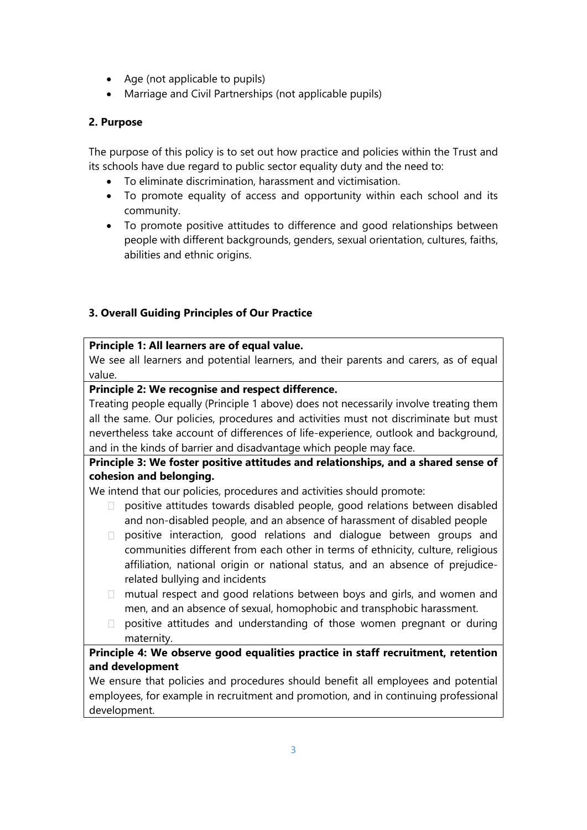- Age (not applicable to pupils)
- Marriage and Civil Partnerships (not applicable pupils)

#### **2. Purpose**

The purpose of this policy is to set out how practice and policies within the Trust and its schools have due regard to public sector equality duty and the need to:

- To eliminate discrimination, harassment and victimisation.
- To promote equality of access and opportunity within each school and its community.
- To promote positive attitudes to difference and good relationships between people with different backgrounds, genders, sexual orientation, cultures, faiths, abilities and ethnic origins.

#### **3. Overall Guiding Principles of Our Practice**

#### **Principle 1: All learners are of equal value.**

We see all learners and potential learners, and their parents and carers, as of equal value.

#### **Principle 2: We recognise and respect difference.**

Treating people equally (Principle 1 above) does not necessarily involve treating them all the same. Our policies, procedures and activities must not discriminate but must nevertheless take account of differences of life-experience, outlook and background, and in the kinds of barrier and disadvantage which people may face.

## **Principle 3: We foster positive attitudes and relationships, and a shared sense of cohesion and belonging.**

We intend that our policies, procedures and activities should promote:

- $\Box$  positive attitudes towards disabled people, good relations between disabled and non-disabled people, and an absence of harassment of disabled people
- positive interaction, good relations and dialogue between groups and communities different from each other in terms of ethnicity, culture, religious affiliation, national origin or national status, and an absence of prejudicerelated bullying and incidents
- mutual respect and good relations between boys and girls, and women and men, and an absence of sexual, homophobic and transphobic harassment.
- $\Box$  positive attitudes and understanding of those women pregnant or during maternity.

## **Principle 4: We observe good equalities practice in staff recruitment, retention and development**

We ensure that policies and procedures should benefit all employees and potential employees, for example in recruitment and promotion, and in continuing professional development.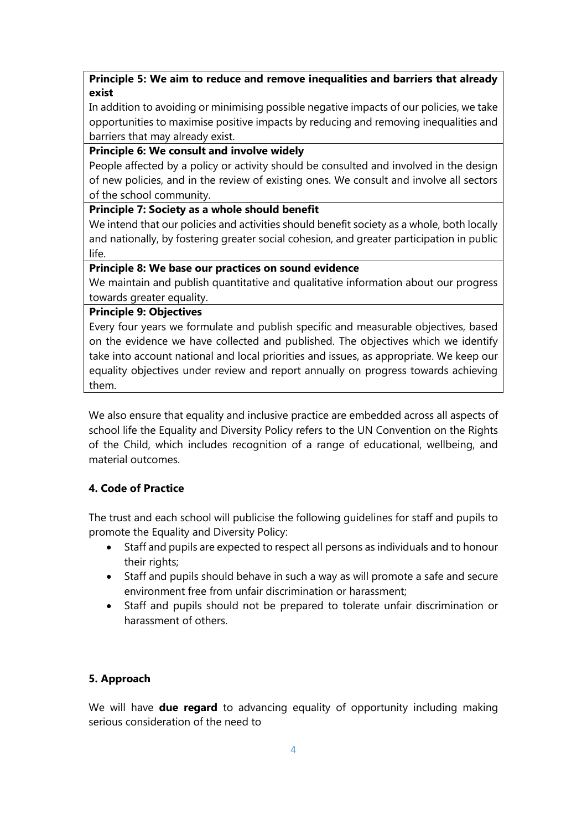### **Principle 5: We aim to reduce and remove inequalities and barriers that already exist**

In addition to avoiding or minimising possible negative impacts of our policies, we take opportunities to maximise positive impacts by reducing and removing inequalities and barriers that may already exist.

#### **Principle 6: We consult and involve widely**

People affected by a policy or activity should be consulted and involved in the design of new policies, and in the review of existing ones. We consult and involve all sectors of the school community.

#### **Principle 7: Society as a whole should benefit**

We intend that our policies and activities should benefit society as a whole, both locally and nationally, by fostering greater social cohesion, and greater participation in public life.

#### **Principle 8: We base our practices on sound evidence**

We maintain and publish quantitative and qualitative information about our progress towards greater equality.

#### **Principle 9: Objectives**

Every four years we formulate and publish specific and measurable objectives, based on the evidence we have collected and published. The objectives which we identify take into account national and local priorities and issues, as appropriate. We keep our equality objectives under review and report annually on progress towards achieving them.

We also ensure that equality and inclusive practice are embedded across all aspects of school life the Equality and Diversity Policy refers to the UN Convention on the Rights of the Child, which includes recognition of a range of educational, wellbeing, and material outcomes.

#### **4. Code of Practice**

The trust and each school will publicise the following guidelines for staff and pupils to promote the Equality and Diversity Policy:

- Staff and pupils are expected to respect all persons as individuals and to honour their rights;
- Staff and pupils should behave in such a way as will promote a safe and secure environment free from unfair discrimination or harassment;
- Staff and pupils should not be prepared to tolerate unfair discrimination or harassment of others.

## **5. Approach**

We will have **due regard** to advancing equality of opportunity including making serious consideration of the need to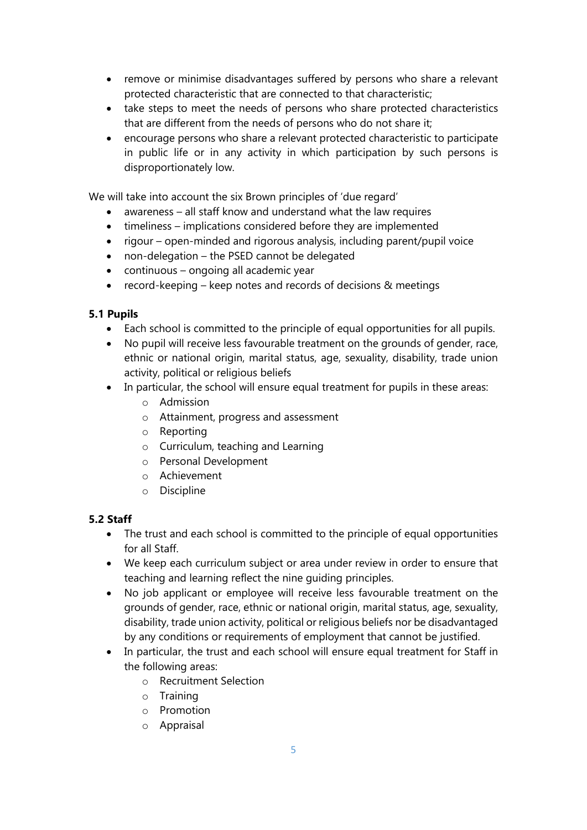- remove or minimise disadvantages suffered by persons who share a relevant protected characteristic that are connected to that characteristic;
- take steps to meet the needs of persons who share protected characteristics that are different from the needs of persons who do not share it;
- encourage persons who share a relevant protected characteristic to participate in public life or in any activity in which participation by such persons is disproportionately low.

We will take into account the six Brown principles of 'due regard'

- awareness all staff know and understand what the law requires
- timeliness implications considered before they are implemented
- rigour open-minded and rigorous analysis, including parent/pupil voice
- non-delegation the PSED cannot be delegated
- continuous ongoing all academic year
- record-keeping keep notes and records of decisions & meetings

#### **5.1 Pupils**

- Each school is committed to the principle of equal opportunities for all pupils.
- No pupil will receive less favourable treatment on the grounds of gender, race, ethnic or national origin, marital status, age, sexuality, disability, trade union activity, political or religious beliefs
- In particular, the school will ensure equal treatment for pupils in these areas:
	- o Admission
	- o Attainment, progress and assessment
	- o Reporting
	- o Curriculum, teaching and Learning
	- o Personal Development
	- o Achievement
	- o Discipline

#### **5.2 Staff**

- The trust and each school is committed to the principle of equal opportunities for all Staff.
- We keep each curriculum subject or area under review in order to ensure that teaching and learning reflect the nine guiding principles.
- No job applicant or employee will receive less favourable treatment on the grounds of gender, race, ethnic or national origin, marital status, age, sexuality, disability, trade union activity, political or religious beliefs nor be disadvantaged by any conditions or requirements of employment that cannot be justified.
- In particular, the trust and each school will ensure equal treatment for Staff in the following areas:
	- o Recruitment Selection
	- o Training
	- o Promotion
	- o Appraisal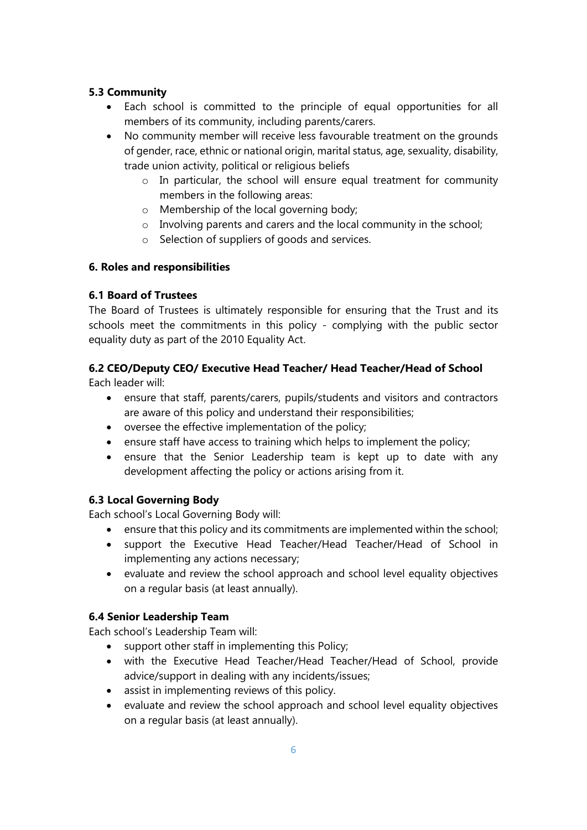#### **5.3 Community**

- Each school is committed to the principle of equal opportunities for all members of its community, including parents/carers.
- No community member will receive less favourable treatment on the grounds of gender, race, ethnic or national origin, marital status, age, sexuality, disability, trade union activity, political or religious beliefs
	- o In particular, the school will ensure equal treatment for community members in the following areas:
	- o Membership of the local governing body;
	- o Involving parents and carers and the local community in the school;
	- o Selection of suppliers of goods and services.

#### **6. Roles and responsibilities**

#### **6.1 Board of Trustees**

The Board of Trustees is ultimately responsible for ensuring that the Trust and its schools meet the commitments in this policy - complying with the public sector equality duty as part of the 2010 Equality Act.

## **6.2 CEO/Deputy CEO/ Executive Head Teacher/ Head Teacher/Head of School**

Each leader will:

- ensure that staff, parents/carers, pupils/students and visitors and contractors are aware of this policy and understand their responsibilities;
- oversee the effective implementation of the policy;
- ensure staff have access to training which helps to implement the policy;
- ensure that the Senior Leadership team is kept up to date with any development affecting the policy or actions arising from it.

#### **6.3 Local Governing Body**

Each school's Local Governing Body will:

- ensure that this policy and its commitments are implemented within the school;
- support the Executive Head Teacher/Head Teacher/Head of School in implementing any actions necessary;
- evaluate and review the school approach and school level equality objectives on a regular basis (at least annually).

#### **6.4 Senior Leadership Team**

Each school's Leadership Team will:

- support other staff in implementing this Policy;
- with the Executive Head Teacher/Head Teacher/Head of School, provide advice/support in dealing with any incidents/issues;
- assist in implementing reviews of this policy.
- evaluate and review the school approach and school level equality objectives on a regular basis (at least annually).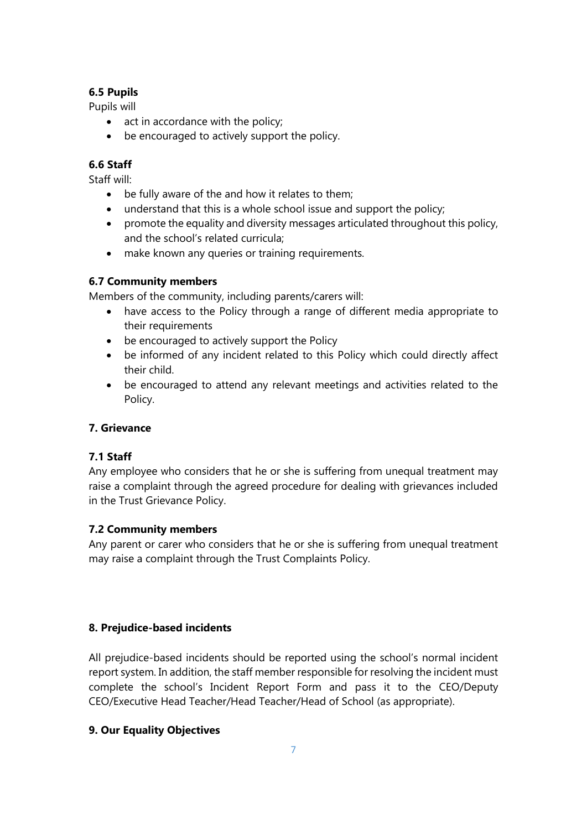## **6.5 Pupils**

Pupils will

- $\bullet$  act in accordance with the policy;
- be encouraged to actively support the policy.

## **6.6 Staff**

Staff will:

- be fully aware of the and how it relates to them;
- understand that this is a whole school issue and support the policy;
- promote the equality and diversity messages articulated throughout this policy, and the school's related curricula;
- make known any queries or training requirements.

## **6.7 Community members**

Members of the community, including parents/carers will:

- have access to the Policy through a range of different media appropriate to their requirements
- be encouraged to actively support the Policy
- be informed of any incident related to this Policy which could directly affect their child.
- be encouraged to attend any relevant meetings and activities related to the Policy.

#### **7. Grievance**

#### **7.1 Staff**

Any employee who considers that he or she is suffering from unequal treatment may raise a complaint through the agreed procedure for dealing with grievances included in the Trust Grievance Policy.

#### **7.2 Community members**

Any parent or carer who considers that he or she is suffering from unequal treatment may raise a complaint through the Trust Complaints Policy.

#### **8. Prejudice-based incidents**

All prejudice-based incidents should be reported using the school's normal incident report system. In addition, the staff member responsible for resolving the incident must complete the school's Incident Report Form and pass it to the CEO/Deputy CEO/Executive Head Teacher/Head Teacher/Head of School (as appropriate).

#### **9. Our Equality Objectives**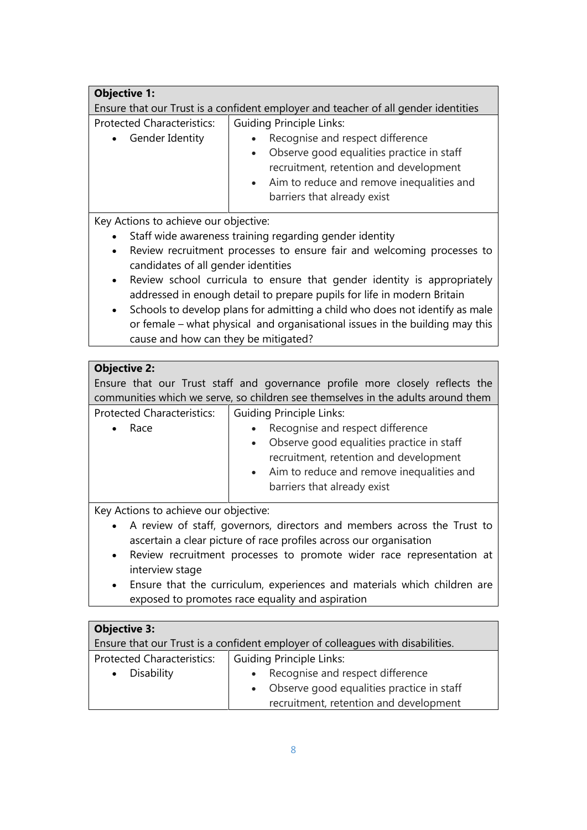| <b>Objective 1:</b>                                                                |                                                                                                                                                                                                     |  |  |  |
|------------------------------------------------------------------------------------|-----------------------------------------------------------------------------------------------------------------------------------------------------------------------------------------------------|--|--|--|
| Ensure that our Trust is a confident employer and teacher of all gender identities |                                                                                                                                                                                                     |  |  |  |
| <b>Protected Characteristics:</b>                                                  | <b>Guiding Principle Links:</b>                                                                                                                                                                     |  |  |  |
| Gender Identity<br>$\bullet$                                                       | Recognise and respect difference<br>Observe good equalities practice in staff<br>recruitment, retention and development<br>Aim to reduce and remove inequalities and<br>barriers that already exist |  |  |  |
| Key Actions to achieve our objective:                                              |                                                                                                                                                                                                     |  |  |  |

- Staff wide awareness training regarding gender identity
- Review recruitment processes to ensure fair and welcoming processes to candidates of all gender identities
- Review school curricula to ensure that gender identity is appropriately addressed in enough detail to prepare pupils for life in modern Britain
- Schools to develop plans for admitting a child who does not identify as male or female – what physical and organisational issues in the building may this cause and how can they be mitigated?

## **Objective 2:**

Ensure that our Trust staff and governance profile more closely reflects the communities which we serve, so children see themselves in the adults around them Protected Characteristics: Guiding Principle Links:

| Race                                                                                                   | Recognise and respect difference                                                                                                                                  |
|--------------------------------------------------------------------------------------------------------|-------------------------------------------------------------------------------------------------------------------------------------------------------------------|
|                                                                                                        | Observe good equalities practice in staff<br>recruitment, retention and development<br>• Aim to reduce and remove inequalities and<br>barriers that already exist |
| $\mathbf{r}$ and $\mathbf{r}$ are the set of $\mathbf{r}$ and $\mathbf{r}$ are the set of $\mathbf{r}$ |                                                                                                                                                                   |

Key Actions to achieve our objective:

- A review of staff, governors, directors and members across the Trust to ascertain a clear picture of race profiles across our organisation
- Review recruitment processes to promote wider race representation at interview stage
- Ensure that the curriculum, experiences and materials which children are exposed to promotes race equality and aspiration

## **Objective 3:**

| Ensure that our Trust is a confident employer of colleagues with disabilities. |                                               |  |
|--------------------------------------------------------------------------------|-----------------------------------------------|--|
| <b>Protected Characteristics:</b>                                              | <b>Guiding Principle Links:</b>               |  |
| • Disability                                                                   | Recognise and respect difference<br>$\bullet$ |  |
|                                                                                | Observe good equalities practice in staff     |  |
|                                                                                | recruitment, retention and development        |  |